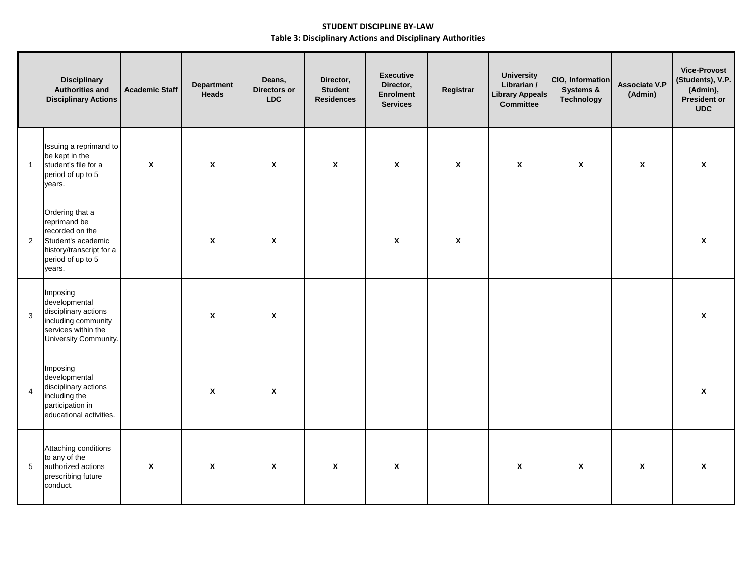|                | <b>Disciplinary</b><br><b>Authorities and</b><br><b>Disciplinary Actions</b>                                                        | <b>Academic Staff</b>     | <b>Department</b><br>Heads | Deans,<br>Directors or<br><b>LDC</b> | Director,<br><b>Student</b><br><b>Residences</b> | <b>Executive</b><br>Director,<br>Enrolment<br><b>Services</b> | Registrar    | <b>University</b><br>Librarian /<br><b>Library Appeals</b><br><b>Committee</b> | CIO, Information<br>Systems &<br><b>Technology</b> | Associate V.P<br>(Admin) | <b>Vice-Provost</b><br>(Students), V.P.<br>(Admin),<br>President or<br><b>UDC</b> |
|----------------|-------------------------------------------------------------------------------------------------------------------------------------|---------------------------|----------------------------|--------------------------------------|--------------------------------------------------|---------------------------------------------------------------|--------------|--------------------------------------------------------------------------------|----------------------------------------------------|--------------------------|-----------------------------------------------------------------------------------|
| $\overline{1}$ | Issuing a reprimand to<br>be kept in the<br>student's file for a<br>period of up to 5<br>years.                                     | $\mathbf{x}$              | $\boldsymbol{\mathsf{x}}$  | $\boldsymbol{\mathsf{x}}$            | $\mathbf{x}$                                     | $\boldsymbol{\mathsf{x}}$                                     | $\mathbf{x}$ | $\pmb{\chi}$                                                                   | $\boldsymbol{\mathsf{x}}$                          | $\boldsymbol{x}$         | $\boldsymbol{\mathsf{x}}$                                                         |
| 2              | Ordering that a<br>reprimand be<br>recorded on the<br>Student's academic<br>history/transcript for a<br>period of up to 5<br>years. |                           | X                          | $\boldsymbol{\mathsf{x}}$            |                                                  | $\pmb{\chi}$                                                  | X            |                                                                                |                                                    |                          | $\pmb{\chi}$                                                                      |
| $\mathbf{3}$   | Imposing<br>developmental<br>disciplinary actions<br>including community<br>services within the<br>University Community.            |                           | X                          | $\mathbf{x}$                         |                                                  |                                                               |              |                                                                                |                                                    |                          | $\mathbf{x}$                                                                      |
| $\overline{4}$ | Imposing<br>developmental<br>disciplinary actions<br>including the<br>participation in<br>educational activities.                   |                           | X                          | $\boldsymbol{\mathsf{x}}$            |                                                  |                                                               |              |                                                                                |                                                    |                          | $\boldsymbol{\mathsf{x}}$                                                         |
| 5              | Attaching conditions<br>to any of the<br>authorized actions<br>prescribing future<br>conduct.                                       | $\boldsymbol{\mathsf{X}}$ | X                          | $\pmb{\chi}$                         | $\mathbf{x}$                                     | $\pmb{\chi}$                                                  |              | $\pmb{\chi}$                                                                   | $\pmb{\chi}$                                       | $\pmb{\mathsf{X}}$       | $\pmb{\mathsf{X}}$                                                                |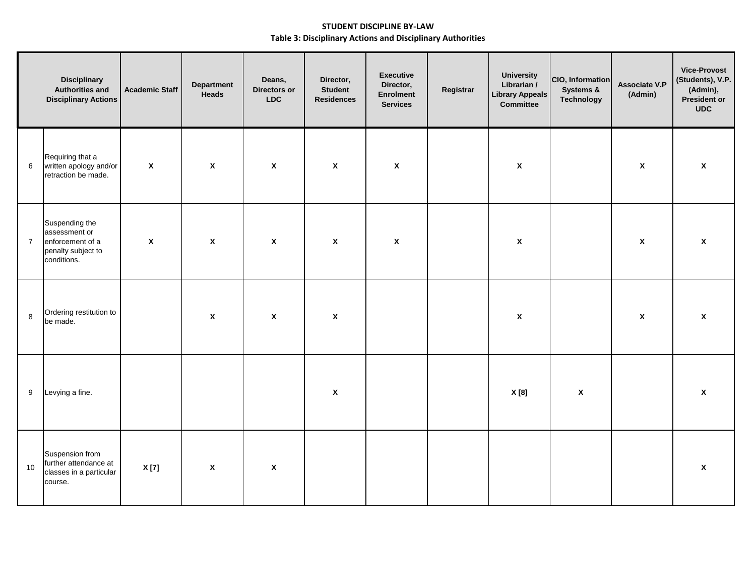|                  | <b>Disciplinary</b><br><b>Authorities and</b><br><b>Disciplinary Actions</b>             | <b>Academic Staff</b> | <b>Department</b><br>Heads | Deans,<br><b>Directors or</b><br><b>LDC</b> | Director,<br><b>Student</b><br><b>Residences</b> | <b>Executive</b><br>Director,<br>Enrolment<br><b>Services</b> | Registrar | <b>University</b><br>Librarian /<br><b>Library Appeals</b><br><b>Committee</b> | CIO, Information<br>Systems &<br><b>Technology</b> | Associate V.P<br>(Admin) | <b>Vice-Provost</b><br>(Students), V.P.<br>(Admin),<br>President or<br><b>UDC</b> |
|------------------|------------------------------------------------------------------------------------------|-----------------------|----------------------------|---------------------------------------------|--------------------------------------------------|---------------------------------------------------------------|-----------|--------------------------------------------------------------------------------|----------------------------------------------------|--------------------------|-----------------------------------------------------------------------------------|
| 6                | Requiring that a<br>written apology and/or<br>retraction be made.                        | $\pmb{\mathsf{X}}$    | $\pmb{\mathsf{X}}$         | $\pmb{\chi}$                                | $\pmb{\mathsf{X}}$                               | $\pmb{\chi}$                                                  |           | $\pmb{\mathsf{x}}$                                                             |                                                    | $\pmb{\mathsf{x}}$       | $\pmb{\chi}$                                                                      |
| $\overline{7}$   | Suspending the<br>assessment or<br>enforcement of a<br>penalty subject to<br>conditions. | $\pmb{\mathsf{X}}$    | $\pmb{\mathsf{X}}$         | $\mathbf{x}$                                | $\mathbf{x}$                                     | $\pmb{\chi}$                                                  |           | $\pmb{\mathsf{x}}$                                                             |                                                    | $\boldsymbol{x}$         | $\pmb{\chi}$                                                                      |
| $\boldsymbol{8}$ | Ordering restitution to<br>be made.                                                      |                       | $\pmb{\mathsf{X}}$         | $\mathbf{x}$                                | $\boldsymbol{x}$                                 |                                                               |           | $\pmb{\mathsf{x}}$                                                             |                                                    | $\boldsymbol{x}$         | $\boldsymbol{\mathsf{X}}$                                                         |
| 9                | Levying a fine.                                                                          |                       |                            |                                             | $\pmb{\mathsf{x}}$                               |                                                               |           | X[8]                                                                           | $\pmb{\chi}$                                       |                          | $\pmb{\mathsf{X}}$                                                                |
| 10               | Suspension from<br>further attendance at<br>classes in a particular<br>course.           | X[7]                  | $\pmb{\mathsf{X}}$         | $\boldsymbol{\mathsf{X}}$                   |                                                  |                                                               |           |                                                                                |                                                    |                          | $\pmb{\chi}$                                                                      |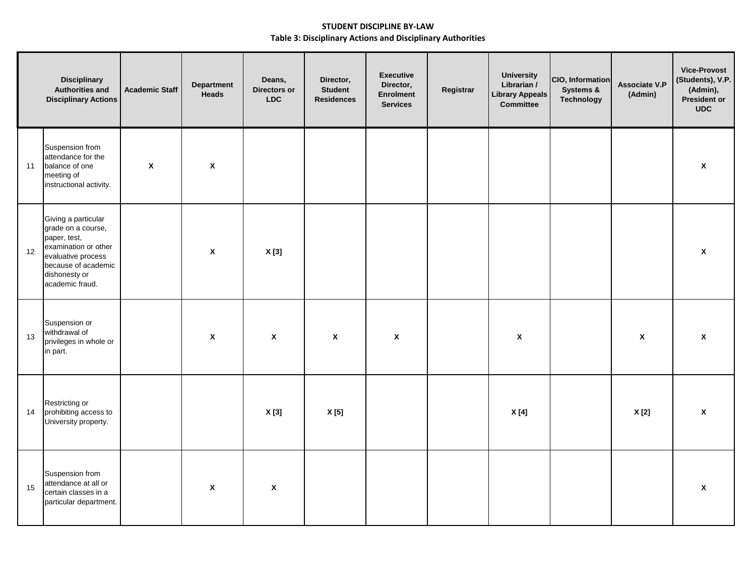|    | <b>Disciplinary</b><br><b>Authorities and</b><br><b>Disciplinary Actions</b>                                                                                       | <b>Academic Staff</b> | Department<br>Heads | Deans,<br>Directors or<br><b>LDC</b> | Director,<br><b>Student</b><br><b>Residences</b> | <b>Executive</b><br>Director,<br>Enrolment<br><b>Services</b> | Registrar | <b>University</b><br>Librarian /<br><b>Library Appeals</b><br><b>Committee</b> | CIO, Information<br>Systems &<br><b>Technology</b> | Associate V.P<br>(Admin) | <b>Vice-Provost</b><br>(Students), V.P.<br>(Admin),<br>President or<br><b>UDC</b> |
|----|--------------------------------------------------------------------------------------------------------------------------------------------------------------------|-----------------------|---------------------|--------------------------------------|--------------------------------------------------|---------------------------------------------------------------|-----------|--------------------------------------------------------------------------------|----------------------------------------------------|--------------------------|-----------------------------------------------------------------------------------|
| 11 | Suspension from<br>attendance for the<br>balance of one<br>meeting of<br>instructional activity.                                                                   | $\pmb{\mathsf{X}}$    | $\pmb{\mathsf{X}}$  |                                      |                                                  |                                                               |           |                                                                                |                                                    |                          | $\pmb{\chi}$                                                                      |
| 12 | Giving a particular<br>grade on a course,<br>paper, test,<br>examination or other<br>evaluative process<br>because of academic<br>dishonesty or<br>academic fraud. |                       | $\pmb{\mathsf{X}}$  | X[3]                                 |                                                  |                                                               |           |                                                                                |                                                    |                          | $\pmb{\mathsf{X}}$                                                                |
| 13 | Suspension or<br>withdrawal of<br>privileges in whole or<br>in part.                                                                                               |                       | X                   | $\mathsf{x}$                         | $\pmb{\mathsf{x}}$                               | $\pmb{\chi}$                                                  |           | $\pmb{\chi}$                                                                   |                                                    | $\pmb{\mathsf{X}}$       | $\pmb{\mathsf{X}}$                                                                |
| 14 | Restricting or<br>prohibiting access to<br>University property.                                                                                                    |                       |                     | X[3]                                 | X[5]                                             |                                                               |           | X[4]                                                                           |                                                    | X[2]                     | $\mathsf{x}$                                                                      |
| 15 | Suspension from<br>attendance at all or<br>certain classes in a<br>particular department.                                                                          |                       | X                   | $\boldsymbol{\mathsf{x}}$            |                                                  |                                                               |           |                                                                                |                                                    |                          | $\boldsymbol{\mathsf{X}}$                                                         |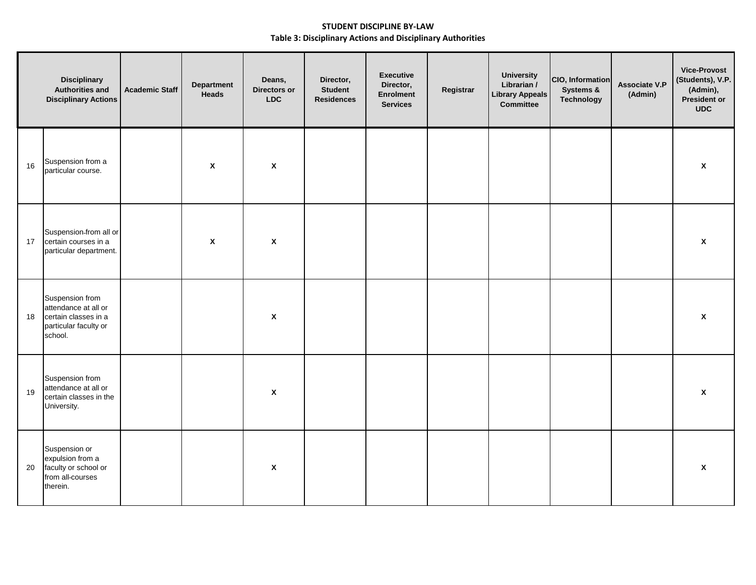|    | <b>Disciplinary</b><br><b>Authorities and</b><br><b>Disciplinary Actions</b>                        | <b>Academic Staff</b> | <b>Department</b><br>Heads | Deans,<br><b>Directors or</b><br><b>LDC</b> | Director,<br><b>Student</b><br><b>Residences</b> | <b>Executive</b><br>Director,<br>Enrolment<br><b>Services</b> | Registrar | <b>University</b><br>Librarian /<br><b>Library Appeals</b><br><b>Committee</b> | CIO, Information<br>Systems &<br><b>Technology</b> | Associate V.P<br>(Admin) | <b>Vice-Provost</b><br>(Students), V.P.<br>(Admin),<br>President or<br><b>UDC</b> |
|----|-----------------------------------------------------------------------------------------------------|-----------------------|----------------------------|---------------------------------------------|--------------------------------------------------|---------------------------------------------------------------|-----------|--------------------------------------------------------------------------------|----------------------------------------------------|--------------------------|-----------------------------------------------------------------------------------|
| 16 | Suspension from a<br>particular course.                                                             |                       | $\pmb{\mathsf{x}}$         | $\pmb{\chi}$                                |                                                  |                                                               |           |                                                                                |                                                    |                          | $\pmb{\mathsf{X}}$                                                                |
| 17 | Suspension-from all or<br>certain courses in a<br>particular department.                            |                       | $\pmb{\mathsf{x}}$         | $\boldsymbol{\mathsf{X}}$                   |                                                  |                                                               |           |                                                                                |                                                    |                          | $\pmb{\chi}$                                                                      |
| 18 | Suspension from<br>attendance at all or<br>certain classes in a<br>particular faculty or<br>school. |                       |                            | $\boldsymbol{\mathsf{x}}$                   |                                                  |                                                               |           |                                                                                |                                                    |                          | $\boldsymbol{x}$                                                                  |
| 19 | Suspension from<br>attendance at all or<br>certain classes in the<br>University.                    |                       |                            | $\boldsymbol{\mathsf{X}}$                   |                                                  |                                                               |           |                                                                                |                                                    |                          | $\boldsymbol{\mathsf{X}}$                                                         |
| 20 | Suspension or<br>expulsion from a<br>faculty or school or<br>from all-courses<br>therein.           |                       |                            | $\boldsymbol{\mathsf{x}}$                   |                                                  |                                                               |           |                                                                                |                                                    |                          | $\boldsymbol{x}$                                                                  |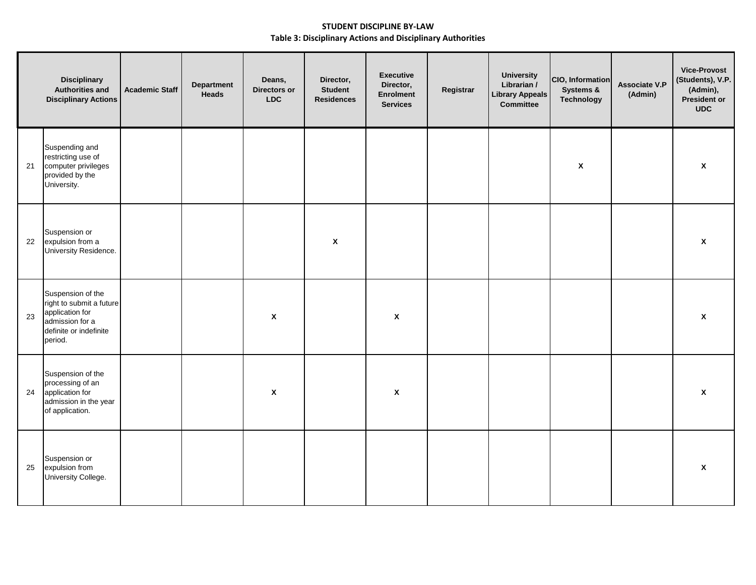|    | <b>Disciplinary</b><br><b>Authorities and</b><br><b>Disciplinary Actions</b>                                             | <b>Academic Staff</b> | <b>Department</b><br><b>Heads</b> | Deans,<br>Directors or<br><b>LDC</b> | Director,<br><b>Student</b><br><b>Residences</b> | <b>Executive</b><br>Director,<br>Enrolment<br><b>Services</b> | Registrar | <b>University</b><br>Librarian /<br><b>Library Appeals</b><br><b>Committee</b> | CIO, Information<br>Systems &<br>Technology | Associate V.P<br>(Admin) | <b>Vice-Provost</b><br>(Students), V.P.<br>(Admin),<br>President or<br><b>UDC</b> |
|----|--------------------------------------------------------------------------------------------------------------------------|-----------------------|-----------------------------------|--------------------------------------|--------------------------------------------------|---------------------------------------------------------------|-----------|--------------------------------------------------------------------------------|---------------------------------------------|--------------------------|-----------------------------------------------------------------------------------|
| 21 | Suspending and<br>restricting use of<br>computer privileges<br>provided by the<br>University.                            |                       |                                   |                                      |                                                  |                                                               |           |                                                                                | $\boldsymbol{\mathsf{x}}$                   |                          | $\mathbf{x}$                                                                      |
| 22 | Suspension or<br>expulsion from a<br>University Residence.                                                               |                       |                                   |                                      | $\pmb{\mathsf{X}}$                               |                                                               |           |                                                                                |                                             |                          | $\pmb{\chi}$                                                                      |
| 23 | Suspension of the<br>right to submit a future<br>application for<br>admission for a<br>definite or indefinite<br>period. |                       |                                   | $\boldsymbol{\mathsf{X}}$            |                                                  | $\pmb{\chi}$                                                  |           |                                                                                |                                             |                          | $\pmb{\chi}$                                                                      |
| 24 | Suspension of the<br>processing of an<br>application for<br>admission in the year<br>of application.                     |                       |                                   | $\boldsymbol{x}$                     |                                                  | $\pmb{\mathsf{X}}$                                            |           |                                                                                |                                             |                          | $\boldsymbol{\mathsf{x}}$                                                         |
| 25 | Suspension or<br>expulsion from<br>University College.                                                                   |                       |                                   |                                      |                                                  |                                                               |           |                                                                                |                                             |                          | $\pmb{\chi}$                                                                      |